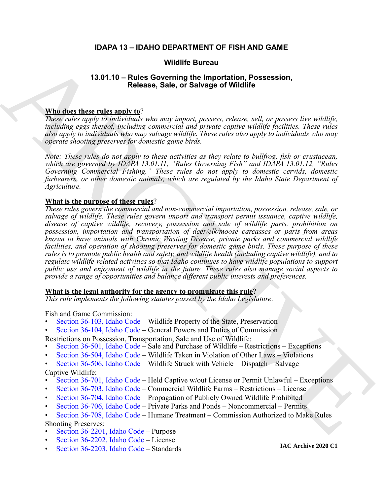## **IDAPA 13 – IDAHO DEPARTMENT OF FISH AND GAME**

## **Wildlife Bureau**

## **13.01.10 – Rules Governing the Importation, Possession, Release, Sale, or Salvage of Wildlife**

## **Who does these rules apply to**?

*These rules apply to individuals who may import, possess, release, sell, or possess live wildlife, including eggs thereof, including commercial and private captive wildlife facilities. These rules also apply to individuals who may salvage wildlife. These rules also apply to individuals who may operate shooting preserves for domestic game birds.*

*Note: These rules do not apply to these activities as they relate to bullfrog, fish or crustacean, which are governed by IDAPA 13.01.11, "Rules Governing Fish" and IDAPA 13.01.12, "Rules Governing Commercial Fishing." These rules do not apply to domestic cervids, domestic furbearers, or other domestic animals, which are regulated by the Idaho State Department of Agriculture.*

## **What is the purpose of these rules**?

**13.01.10 – Rules Governing the inproduction, Possession,**<br> **13.01.10 – Rules Governing the importation, Possession,**<br> **18.000 minimal control in the control input of the control interval in the interval interval in the c** *These rules govern the commercial and non-commercial importation, possession, release, sale, or salvage of wildlife. These rules govern import and transport permit issuance, captive wildlife, disease of captive wildlife, recovery, possession and sale of wildlife parts, prohibition on possession, importation and transportation of deer/elk/moose carcasses or parts from areas known to have animals with Chronic Wasting Disease, private parks and commercial wildlife facilities, and operation of shooting preserves for domestic game birds. These purpose of these rules is to promote public health and safety, and wildlife health (including captive wildlife), and to regulate wildlife-related activities so that Idaho continues to have wildlife populations to support public use and enjoyment of wildlife in the future. These rules also manage social aspects to provide a range of opportunities and balance different public interests and preferences.*

## **What is the legal authority for the agency to promulgate this rule**?

*This rule implements the following statutes passed by the Idaho Legislature:*

## Fish and Game Commission:

- Section 36-103, Idaho Code Wildlife Property of the State, Preservation
- Section 36-104, Idaho Code General Powers and Duties of Commission
- Restrictions on Possession, Transportation, Sale and Use of Wildlife:
- Section 36-501, Idaho Code Sale and Purchase of Wildlife Restrictions Exceptions
- Section 36-504, Idaho Code Wildlife Taken in Violation of Other Laws Violations
- Section 36-506, Idaho Code Wildlife Struck with Vehicle Dispatch Salvage Captive Wildlife:
- Section 36-701, Idaho Code Held Captive w/out License or Permit Unlawful Exceptions
- Section 36-703, Idaho Code Commercial Wildlife Farms Restrictions License
- Section 36-704, Idaho Code Propagation of Publicly Owned Wildlife Prohibited
- Section 36-706, Idaho Code Private Parks and Ponds Noncommercial Permits
- Section 36-708, Idaho Code Humane Treatment Commission Authorized to Make Rules Shooting Preserves:
- Section 36-2201, Idaho Code Purpose
- [Section 36-2202, Idaho Code –](https://legislature.idaho.gov/statutesrules/idstat/Title36/T36CH22/SECT36-2202/) License
- [Section 36-2203, Idaho Code –](https://legislature.idaho.gov/statutesrules/idstat/Title36/T36CH22/SECT36-2203/) Standards

**IAC Archive 2020 C1**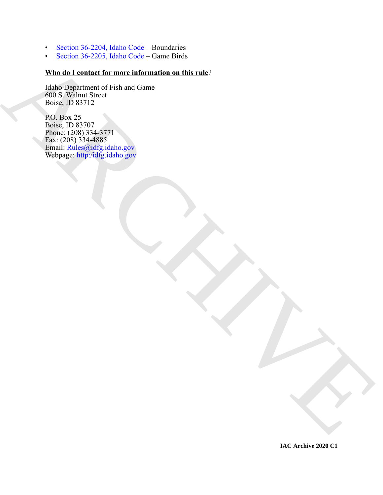- [Section 36-2204, Idaho Code –](https://legislature.idaho.gov/statutesrules/idstat/Title36/T36CH22/SECT36-2204/) Boundaries
- [Section 36-2205, Idaho Code –](https://legislature.idaho.gov/statutesrules/idstat/Title36/T36CH22/SECT36-2205/) Game Birds

## **Who do I contact for more information on this rule**?

Idaho Department of Fish and Game 600 S. Walnut Street Boise, ID 83712

What dist containt for more information on this rate"<br>
What dist containt for more information on this rate"<br>
(the Light distribution)<br>  $\frac{P(D|D|)}{D(D|D|D)} = \sum_{n=1}^{N} P(D|D|n) \sum_{n=1}^{N} P(D|D|n) \sum_{n=1}^{N} P(D|D|n) \sum_{n=1}^{N} P(D|D|$ P.O. Box 25 Boise, ID 83707 Phone: (208) 334-3771 Fax: (208) 334-4885 Email: Rules@idfg.idaho.gov Webpage: http:/idfg.idaho.gov

**IAC Archive 2020 C1**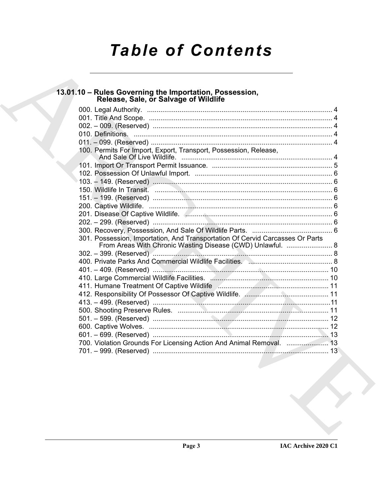# **Table of Contents**

# 13.01.10 - Rules Governing the Importation, Possession,<br>Release, Sale, or Salvage of Wildlife

| 100. Permits For Import, Export, Transport, Possession, Release,              |  |
|-------------------------------------------------------------------------------|--|
|                                                                               |  |
|                                                                               |  |
|                                                                               |  |
|                                                                               |  |
|                                                                               |  |
|                                                                               |  |
|                                                                               |  |
|                                                                               |  |
|                                                                               |  |
|                                                                               |  |
|                                                                               |  |
| 301. Possession, Importation, And Transportation Of Cervid Carcasses Or Parts |  |
| From Areas With Chronic Wasting Disease (CWD) Unlawful.  8                    |  |
|                                                                               |  |
|                                                                               |  |
|                                                                               |  |
|                                                                               |  |
|                                                                               |  |
|                                                                               |  |
|                                                                               |  |
|                                                                               |  |
|                                                                               |  |
|                                                                               |  |
|                                                                               |  |
| 700. Violation Grounds For Licensing Action And Animal Removal. 13            |  |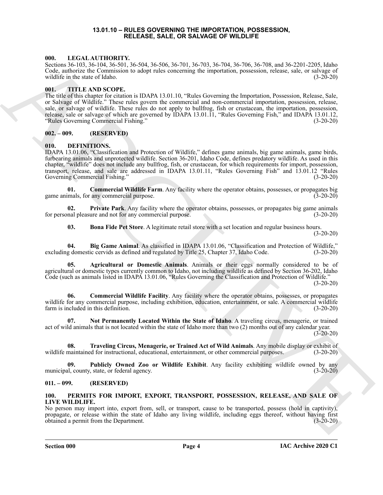## **13.01.10 – RULES GOVERNING THE IMPORTATION, POSSESSION, RELEASE, SALE, OR SALVAGE OF WILDLIFE**

## <span id="page-3-17"></span><span id="page-3-1"></span><span id="page-3-0"></span>**000. LEGAL AUTHORITY.**

Sections 36-103, 36-104, 36-501, 36-504, 36-506, 36-701, 36-703, 36-704, 36-706, 36-708, and 36-2201-2205, Idaho Code, authorize the Commission to adopt rules concerning the importation, possession, release, sale, or salvage of wildlife in the state of Idaho. (3-20-20)

## <span id="page-3-19"></span><span id="page-3-2"></span>**001. TITLE AND SCOPE.**

The title of this chapter for citation is IDAPA 13.01.10, "Rules Governing the Importation, Possession, Release, Sale, or Salvage of Wildlife." These rules govern the commercial and non-commercial importation, possession, release, sale, or salvage of wildlife. These rules do not apply to bullfrog, fish or crustacean, the importation, possession, release, sale or salvage of which are governed by IDAPA 13.01.11, "Rules Governing Fish," and IDAPA 13.01.12, "Rules Governing Commercial Fishing." (3-20-20)

## <span id="page-3-3"></span>**002. – 009. (RESERVED)**

## <span id="page-3-7"></span><span id="page-3-4"></span>**010. DEFINITIONS.**

600. Units (March 2013)<br>
Contained to Commission. Comparison to the read of ASS (ASS (ASS) (ASS) (ASS) (ASS) (ASS) (ASS) (ASS) (ASS) (ASS) (ASS) (ASS) (ASS) (ASS) (ASS) (ASS) (ASS) (ASS) (ASS) (ASS) (ASS) (ASS) (ASS) (ASS IDAPA 13.01.06, "Classification and Protection of Wildlife," defines game animals, big game animals, game birds, furbearing animals and unprotected wildlife. Section 36-201, Idaho Code, defines predatory wildlife. As used in this chapter, "wildlife" does not include any bullfrog, fish, or crustacean, for which requirements for import, possession, transport, release, and sale are addressed in IDAPA 13.01.11, "Rules Governing Fish" and 13.01.12 "Rules Governing Commercial Fishing."

<span id="page-3-12"></span>**01. Commercial Wildlife Farm**. Any facility where the operator obtains, possesses, or propagates big game animals, for any commercial purpose. (3-20-20)

**02. Private Park**. Any facility where the operator obtains, possesses, or propagates big game animals for personal pleasure and not for any commercial purpose. (3-20-20)

<span id="page-3-14"></span><span id="page-3-10"></span><span id="page-3-9"></span><span id="page-3-8"></span>**03. Bona Fide Pet Store**. A legitimate retail store with a set location and regular business hours. (3-20-20)

**04. Big Game Animal**. As classified in IDAPA 13.01.06, "Classification and Protection of Wildlife," excluding domestic cervids as defined and regulated by Title 25, Chapter 37, Idaho Code. (3-20-20)

**05. Agricultural or Domestic Animals**. Animals or their eggs normally considered to be of agricultural or domestic types currently common to Idaho, not including wildlife as defined by Section 36-202, Idaho Code (such as animals listed in IDAPA 13.01.06, "Rules Governing the Classification and Protection of Wildlife."  $(3-20-20)$ 

<span id="page-3-11"></span>**06. Commercial Wildlife Facility**. Any facility where the operator obtains, possesses, or propagates wildlife for any commercial purpose, including exhibition, education, entertainment, or sale. A commercial wildlife farm is included in this definition. (3-20-20)

<span id="page-3-13"></span>**07. Not Permanently Located Within the State of Idaho**. A traveling circus, menagerie, or trained act of wild animals that is not located within the state of Idaho more than two (2) months out of any calendar year.  $(3-20-20)$ 

<span id="page-3-16"></span>**08. Traveling Circus, Menagerie, or Trained Act of Wild Animals**. Any mobile display or exhibit of wildlife maintained for instructional, educational, entertainment, or other commercial purposes. (3-20-20)

<span id="page-3-15"></span>**09. Publicly Owned Zoo or Wildlife Exhibit**. Any facility exhibiting wildlife owned by any municipal, county, state, or federal agency. (3-20-20)

## <span id="page-3-5"></span>**011. – 099. (RESERVED)**

## <span id="page-3-18"></span><span id="page-3-6"></span>**100. PERMITS FOR IMPORT, EXPORT, TRANSPORT, POSSESSION, RELEASE, AND SALE OF LIVE WILDLIFE.**

No person may import into, export from, sell, or transport, cause to be transported, possess (hold in captivity), propagate, or release within the state of Idaho any living wildlife, including eggs thereof, without having first obtained a permit from the Department. (3-20-20)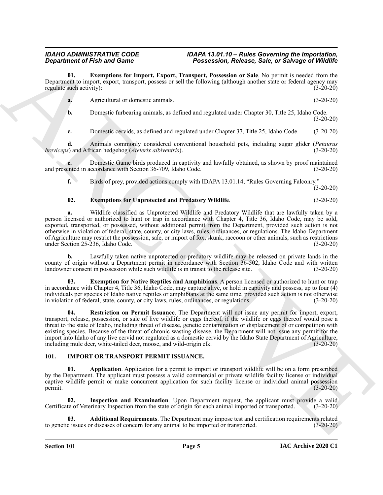**01. Exemptions for Import, Export, Transport, Possession or Sale**. No permit is needed from the Department to import, export, transport, possess or sell the following (although another state or federal agency may regulate such activity): (3-20-20)

<span id="page-4-6"></span>

| Agricultural or domestic animals. | $(3-20-20)$ |
|-----------------------------------|-------------|
|                                   |             |

**b.** Domestic furbearing animals, as defined and regulated under Chapter 30, Title 25, Idaho Code. (3-20-20)

**c.** Domestic cervids, as defined and regulated under Chapter 37, Title 25, Idaho Code. (3-20-20)

**d.** Animals commonly considered conventional household pets, including sugar glider (*Petaurus* s) and African hedgehog (*Atelerix albiventris*). (3-20-20) *breviceps*) and African hedgehog (*Atelerix albiventris*).

**e.** Domestic Game birds produced in captivity and lawfully obtained, as shown by proof maintained and presented in accordance with Section 36-709, Idaho Code. (3-20-20)

**f.** Birds of prey, provided actions comply with IDAPA 13.01.14, "Rules Governing Falconry."  $(3-20-20)$ 

## <span id="page-4-7"></span>**02. Exemptions for Unprotected and Predatory Wildlife**. (3-20-20)

**Equivalent of Finite and Connective Connective Connective Connective Connective Connective Connective Connective Connective Connective Connective Connective Connective Connective Connective Connective Connective Connecti a.** Wildlife classified as Unprotected Wildlife and Predatory Wildlife that are lawfully taken by a person licensed or authorized to hunt or trap in accordance with Chapter 4, Title 36, Idaho Code, may be sold, exported, transported, or possessed, without additional permit from the Department, provided such action is not otherwise in violation of federal, state, county, or city laws, rules, ordinances, or regulations. The Idaho Department of Agriculture may restrict the possession, sale, or import of fox, skunk, raccoon or other animals, such as restrictions under Section 25-236, Idaho Code. (3-20-20)

**b.** Lawfully taken native unprotected or predatory wildlife may be released on private lands in the county of origin without a Department permit in accordance with Section 36-502, Idaho Code and with written landowner consent in possession while such wildlife is in transit to the release site. (3-20-20)

<span id="page-4-5"></span>**03. Exemption for Native Reptiles and Amphibians**. A person licensed or authorized to hunt or trap in accordance with Chapter 4, Title 36, Idaho Code, may capture alive, or hold in captivity and possess, up to four  $(4)$ individuals per species of Idaho native reptiles or amphibians at the same time, provided such action is not otherwise in violation of federal, state, county, or city laws, rules, ordinances, or regulations. (3-20-20)

<span id="page-4-8"></span>**04. Restriction on Permit Issuance**. The Department will not issue any permit for import, export, transport, release, possession, or sale of live wildlife or eggs thereof, if the wildlife or eggs thereof would pose a threat to the state of Idaho, including threat of disease, genetic contamination or displacement of or competition with existing species. Because of the threat of chronic wasting disease, the Department will not issue any permit for the import into Idaho of any live cervid not regulated as a domestic cervid by the Idaho State Department of Agriculture, including mule deer, white-tailed deer, moose, and wild-origin elk. (3-20-20)

## <span id="page-4-3"></span><span id="page-4-1"></span><span id="page-4-0"></span>**101. IMPORT OR TRANSPORT PERMIT ISSUANCE.**

**01. Application**. Application for a permit to import or transport wildlife will be on a form prescribed by the Department. The applicant must possess a valid commercial or private wildlife facility license or individual captive wildlife permit or make concurrent application for such facility license or individual animal possession  $permit.$  (3-20-20)

<span id="page-4-4"></span>**02. Inspection and Examination**. Upon Department request, the applicant must provide a valid Certificate of Veterinary Inspection from the state of origin for each animal imported or transported. (3-20-20)

<span id="page-4-2"></span>**03. Additional Requirements**. The Department may impose test and certification requirements related to genetic issues or diseases of concern for any animal to be imported or transported. (3-20-20)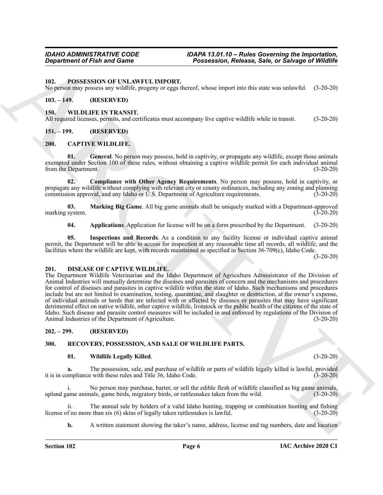<span id="page-5-15"></span><span id="page-5-0"></span>**102. POSSESSION OF UNLAWFUL IMPORT.**

No person may possess any wildlife, progeny or eggs thereof, whose import into this state was unlawful. (3-20-20)

## <span id="page-5-1"></span>**103. – 149. (RESERVED)**

### <span id="page-5-18"></span><span id="page-5-2"></span>**150. WILDLIFE IN TRANSIT.**

All required licenses, permits, and certificates must accompany live captive wildlife while in transit. (3-20-20)

## <span id="page-5-3"></span>**151. – 199. (RESERVED)**

## <span id="page-5-8"></span><span id="page-5-4"></span>**200. CAPTIVE WILDLIFE.**

<span id="page-5-11"></span>**01. General**. No person may possess, hold in captivity, or propagate any wildlife, except those animals exempted under Section 100 of these rules, without obtaining a captive wildlife permit for each individual animal from the Department. (3-20-20)

<span id="page-5-10"></span>**02. Compliance with Other Agency Requirements**. No person may possess, hold in captivity, or propagate any wildlife without complying with relevant city or county ordinances, including any zoning and planning commission approval, and any Idaho or U.S. Department of Agriculture requirements. (3-20-20)

**03. Marking Big Game**. All big game animals shall be uniquely marked with a Department-approved marking system.

<span id="page-5-13"></span><span id="page-5-12"></span><span id="page-5-9"></span>**04. Applications**. Application for license will be on a form prescribed by the Department. (3-20-20)

**05. Inspections and Records**. As a condition to any facility license or individual captive animal permit, the Department will be able to access for inspection at any reasonable time all records, all wildlife, and the facilities where the wildlife are kept, with records maintained as specified in Section 36-709(c), Idaho Code.

(3-20-20)

## <span id="page-5-14"></span><span id="page-5-5"></span>**201. DISEASE OF CAPTIVE WILDLIFE.**

**Expariment of Fish and Game<br>
19. Possession, Release, Sale, or Showge of Wildlife<br>
19. Possession, or the ANN INTERNATIE.<br>
No general process of WILDLEY INTERNATIE.<br>
No general process of WILDLEY INTERNATIE.<br>
ARCHIVE INT** The Department Wildlife Veterinarian and the Idaho Department of Agriculture Administrator of the Division of Animal Industries will mutually determine the diseases and parasites of concern and the mechanisms and procedures for control of diseases and parasites in captive wildlife within the state of Idaho. Such mechanisms and procedures include but are not limited to examination, testing, quarantine, and slaughter or destruction, at the owner's expense, of individual animals or herds that are infected with or affected by diseases or parasites that may have significant detrimental effect on native wildlife, other captive wildlife, livestock or the public health of the citizens of the state of Idaho. Such disease and parasite control measures will be included in and enforced by regulations of the Division of Animal Industries of the Department of Agriculture.

## <span id="page-5-6"></span>**202. – 299. (RESERVED)**

## <span id="page-5-7"></span>**300. RECOVERY, POSSESSION, AND SALE OF WILDLIFE PARTS.**

### <span id="page-5-17"></span><span id="page-5-16"></span>**01. Wildlife Legally Killed**. (3-20-20)

**a.** The possession, sale, and purchase of wildlife or parts of wildlife legally killed is lawful, provided it is in compliance with these rules and Title 36, Idaho Code. (3-20-20)

i. No person may purchase, barter, or sell the edible flesh of wildlife classified as big game animals, upland game animals, game birds, migratory birds, or rattlesnakes taken from the wild. (3-20-20)

ii. The annual sale by holders of a valid Idaho hunting, trapping or combination hunting and fishing f no more than six (6) skins of legally taken rattlesnakes is lawful. (3-20-20) license of no more than six  $(6)$  skins of legally taken rattlesnakes is lawful.

**b.** A written statement showing the taker's name, address, license and tag numbers, date and location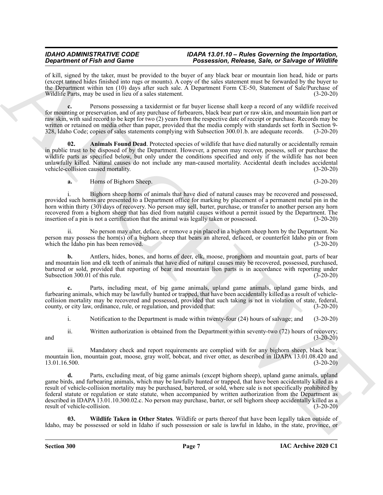of kill, signed by the taker, must be provided to the buyer of any black bear or mountain lion head, hide or parts (except tanned hides finished into rugs or mounts). A copy of the sales statement must be forwarded by the buyer to the Department within ten (10) days after such sale. A Department Form CE-50, Statement of Sale/Purchase of Wildlife Parts, may be used in lieu of a sales statement. (3-20-20)

**c.** Persons possessing a taxidermist or fur buyer license shall keep a record of any wildlife received for mounting or preservation, and of any purchase of furbearers, black bear part or raw skin, and mountain lion part or raw skin, with said record to be kept for two (2) years from the respective date of receipt or purchase. Records may be written or retained on media other than paper, provided that the media comply with standards set forth in Section 9- 328, Idaho Code; copies of sales statements complying with Subsection 300.01.b. are adequate records. (3-20-20)

<span id="page-6-0"></span>**02. Animals Found Dead**. Protected species of wildlife that have died naturally or accidentally remain in public trust to be disposed of by the Department. However, a person may recover, possess, sell or purchase the wildlife parts as specified below, but only under the conditions specified and only if the wildlife has not been unlawfully killed. Natural causes do not include any man-caused mortality. Accidental death includes accidental vehicle-collision caused mortality. (3-20-20)

**a.** Horns of Bighorn Sheep. (3-20-20)

i. Bighorn sheep horns of animals that have died of natural causes may be recovered and possessed, provided such horns are presented to a Department office for marking by placement of a permanent metal pin in the horn within thirty (30) days of recovery. No person may sell, barter, purchase, or transfer to another person any horn recovered from a bighorn sheep that has died from natural causes without a permit issued by the Department. The insertion of a pin is not a certification that the animal was legally taken or possessed. (3-20-20)

ii. No person may alter, deface, or remove a pin placed in a bighorn sheep horn by the Department. No person may possess the horn(s) of a bighorn sheep that bears an altered, defaced, or counterfeit Idaho pin or from which the Idaho pin has been removed. (3-20-20)

**b.** Antlers, hides, bones, and horns of deer, elk, moose, pronghorn and mountain goat, parts of bear and mountain lion and elk teeth of animals that have died of natural causes may be recovered, possessed, purchased, bartered or sold, provided that reporting of bear and mountain lion parts is in accordance with reporting under Subsection 300.01 of this rule. (3-20-20)

**c.** Parts, including meat, of big game animals, upland game animals, upland game birds, and furbearing animals, which may be lawfully hunted or trapped, that have been accidentally killed as a result of vehiclecollision mortality may be recovered and possessed, provided that such taking is not in violation of state, federal, county, or city law, ordinance, rule, or regulation, and provided that: (3-20-20)

i. Notification to the Department is made within twenty-four (24) hours of salvage; and (3-20-20)

ii. Written authorization is obtained from the Department within seventy-two (72) hours of recovery;<br>(3-20-20) and  $(3-20-20)$ 

iii. Mandatory check and report requirements are complied with for any bighorn sheep, black bear, mountain lion, mountain goat, moose, gray wolf, bobcat, and river otter, as described in IDAPA 13.01.08.420 and 13.01.16.500. (3-20-20)

Graduation of Finding to do not be provided to the three states and the state of Showers of the Christian Control in the Christian Control in the Christian Control in the Christian Control in the Christian Control in the **d.** Parts, excluding meat, of big game animals (except bighorn sheep), upland game animals, upland game birds, and furbearing animals, which may be lawfully hunted or trapped, that have been accidentally killed as a result of vehicle-collision mortality may be purchased, bartered, or sold, where sale is not specifically prohibited by federal statute or regulation or state statute, when accompanied by written authorization from the Department as described in IDAPA 13.01.10.300.02.c. No person may purchase, barter, or sell bighorn sheep accidentally killed as a result of vehicle-collision. (3-20-20)

<span id="page-6-1"></span>**03. Wildlife Taken in Other States**. Wildlife or parts thereof that have been legally taken outside of Idaho, may be possessed or sold in Idaho if such possession or sale is lawful in Idaho, in the state, province, or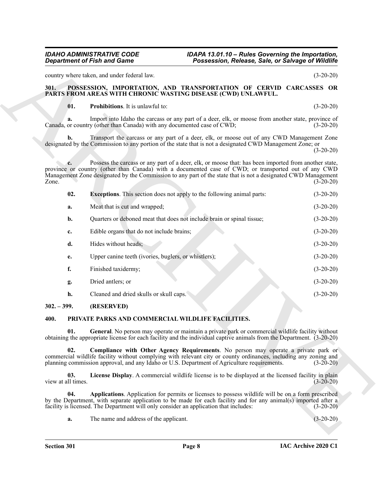## <span id="page-7-5"></span><span id="page-7-4"></span><span id="page-7-3"></span><span id="page-7-0"></span>**301. POSSESSION, IMPORTATION, AND TRANSPORTATION OF CERVID CARCASSES OR PARTS FROM AREAS WITH CHRONIC WASTING DISEASE (CWD) UNLAWFUL.**

| <b>Department of Fish and Game</b> |                                                                                       | Possession, Release, Sale, or Salvage of Wildlife                                                                                                                                                                                                                                                                             |             |
|------------------------------------|---------------------------------------------------------------------------------------|-------------------------------------------------------------------------------------------------------------------------------------------------------------------------------------------------------------------------------------------------------------------------------------------------------------------------------|-------------|
|                                    | country where taken, and under federal law.                                           |                                                                                                                                                                                                                                                                                                                               | $(3-20-20)$ |
| 301.                               |                                                                                       | POSSESSION, IMPORTATION, AND TRANSPORTATION OF CERVID CARCASSES OR<br>PARTS FROM AREAS WITH CHRONIC WASTING DISEASE (CWD) UNLAWFUL.                                                                                                                                                                                           |             |
| 01.                                | Prohibitions. It is unlawful to:                                                      |                                                                                                                                                                                                                                                                                                                               | $(3-20-20)$ |
| a.                                 | Canada, or country (other than Canada) with any documented case of CWD;               | Import into Idaho the carcass or any part of a deer, elk, or moose from another state, province of                                                                                                                                                                                                                            | $(3-20-20)$ |
| b.                                 |                                                                                       | Transport the carcass or any part of a deer, elk, or moose out of any CWD Management Zone<br>designated by the Commission to any portion of the state that is not a designated CWD Management Zone; or                                                                                                                        | $(3-20-20)$ |
| $\mathbf{c}$ .<br>Zone.            |                                                                                       | Possess the carcass or any part of a deer, elk, or moose that: has been imported from another state,<br>province or country (other than Canada) with a documented case of CWD; or transported out of any CWD<br>Management Zone designated by the Commission to any part of the state that is not a designated CWD Management | $(3-20-20)$ |
| 02.                                |                                                                                       | <b>Exceptions.</b> This section does not apply to the following animal parts:                                                                                                                                                                                                                                                 | $(3-20-20)$ |
| a.                                 | Meat that is cut and wrapped;                                                         |                                                                                                                                                                                                                                                                                                                               | $(3-20-20)$ |
| b.                                 | Quarters or deboned meat that does not include brain or spinal tissue;                |                                                                                                                                                                                                                                                                                                                               | $(3-20-20)$ |
| c.                                 | Edible organs that do not include brains;                                             |                                                                                                                                                                                                                                                                                                                               | $(3-20-20)$ |
| d.                                 | Hides without heads;                                                                  |                                                                                                                                                                                                                                                                                                                               | $(3-20-20)$ |
| e.                                 | Upper canine teeth (ivories, buglers, or whistlers);                                  |                                                                                                                                                                                                                                                                                                                               | $(3-20-20)$ |
| f.                                 | Finished taxidermy;                                                                   |                                                                                                                                                                                                                                                                                                                               | $(3-20-20)$ |
| g.                                 | Dried antlers; or                                                                     |                                                                                                                                                                                                                                                                                                                               | $(3-20-20)$ |
| h.                                 | Cleaned and dried skulls or skull caps.                                               |                                                                                                                                                                                                                                                                                                                               | $(3-20-20)$ |
| $302 - 399$ .                      | (RESERVED)                                                                            |                                                                                                                                                                                                                                                                                                                               |             |
| 400.                               | PRIVATE PARKS AND COMMERCIAL WILDLIFE FACILITIES.                                     |                                                                                                                                                                                                                                                                                                                               |             |
| 01.                                |                                                                                       | General. No person may operate or maintain a private park or commercial wildlife facility without<br>obtaining the appropriate license for each facility and the individual captive animals from the Department. (3-20-20)                                                                                                    |             |
| 02.                                |                                                                                       | <b>Compliance with Other Agency Requirements.</b> No person may operate a private park or<br>commercial wildlife facility without complying with relevant city or county ordinances, including any zoning and<br>planning commission approval, and any Idaho or U.S. Department of Agriculture requirements.                  | $(3-20-20)$ |
| 03.<br>view at all times.          |                                                                                       | License Display. A commercial wildlife license is to be displayed at the licensed facility in plain                                                                                                                                                                                                                           | $(3-20-20)$ |
| 04.                                | facility is licensed. The Department will only consider an application that includes: | Applications. Application for permits or licenses to possess wildlife will be on a form prescribed<br>by the Department, with separate application to be made for each facility and for any animal(s) imported after a                                                                                                        | $(3-20-20)$ |
|                                    | The name and address of the applicant.                                                |                                                                                                                                                                                                                                                                                                                               | $(3-20-20)$ |

## <span id="page-7-10"></span><span id="page-7-9"></span><span id="page-7-8"></span><span id="page-7-7"></span><span id="page-7-6"></span><span id="page-7-2"></span><span id="page-7-1"></span>**400. PRIVATE PARKS AND COMMERCIAL WILDLIFE FACILITIES.**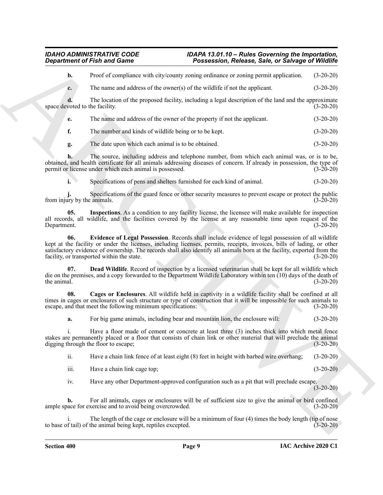**b.** Proof of compliance with city/county zoning ordinance or zoning permit application. (3-20-20)

**c.** The name and address of the owner(s) of the wildlife if not the applicant. (3-20-20)

**d.** The location of the proposed facility, including a legal description of the land and the approximate space devoted to the facility. (3-20-20)

**e.** The name and address of the owner of the property if not the applicant. (3-20-20)

**f.** The number and kinds of wildlife being or to be kept. (3-20-20)

**g.** The date upon which each animal is to be obtained. (3-20-20)

**h.** The source, including address and telephone number, from which each animal was, or is to be, obtained, and health certificate for all animals addressing diseases of concern. If already in possession, the type of permit or license under which each animal is possessed. (3-20-20)

<span id="page-8-3"></span>**i.** Specifications of pens and shelters furnished for each kind of animal. (3-20-20)

**j.** Specifications of the guard fence or other security measures to prevent escape or protect the public from injury by the animals. (3-20-20)

<span id="page-8-2"></span>**05. Inspections**. As a condition to any facility license, the licensee will make available for inspection all records, all wildlife, and the facilities covered by the license at any reasonable time upon request of the Department. (3-20-20)

*Given the This and Come*<br> **Constrained This and Come<sup>n</sup> <b>Constrained**  $\frac{1}{2}$  **Constrained**  $\frac{1}{2}$  **Constrained**  $\frac{1}{2}$  **Constrained**  $\frac{1}{2}$  **Constrained**  $\frac{1}{2}$  **Constrained**  $\frac{1}{2}$  **Constrained**  $\frac{$ **06. Evidence of Legal Possession**. Records shall include evidence of legal possession of all wildlife kept at the facility or under the licenses, including licenses, permits, receipts, invoices, bills of lading, or other satisfactory evidence of ownership. The records shall also identify all animals born at the facility, exported from the facility, or transported within the state.  $(3-20-20)$ 

<span id="page-8-1"></span>**07. Dead Wildlife**. Record of inspection by a licensed veterinarian shall be kept for all wildlife which die on the premises, and a copy forwarded to the Department Wildlife Laboratory within ten (10) days of the death of the animal. (3-20-20) the animal.  $(3-20-20)$ 

**08. Cages or Enclosures**. All wildlife held in captivity in a wildlife facility shall be confined at all times in cages or enclosures of such structure or type of construction that it will be impossible for such animals to escape, and that meet the following minimum specifications: (3-20-20)

<span id="page-8-0"></span>**a.** For big game animals, including bear and mountain lion, the enclosure will: (3-20-20)

i. Have a floor made of cement or concrete at least three (3) inches thick into which metal fence stakes are permanently placed or a floor that consists of chain link or other material that will preclude the animal digging through the floor to escape; (3-20-20) digging through the floor to escape;

ii. Have a chain link fence of at least eight (8) feet in height with barbed wire overhang; (3-20-20)

iii. Have a chain link cage top; (3-20-20)

iv. Have any other Department-approved configuration such as a pit that will preclude escape. (3-20-20)

**b.** For all animals, cages or enclosures will be of sufficient size to give the animal or bird confined ample space for exercise and to avoid being overcrowded. (3-20-20)

The length of the cage or enclosure will be a minimum of four (4) times the body length (tip of nose to base of tail) of the animal being kept, reptiles excepted. (3-20-20)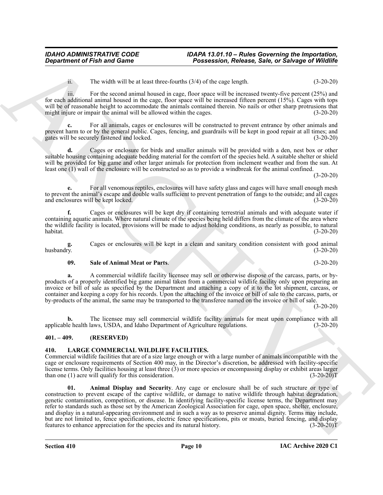ii. The width will be at least three-fourths (3/4) of the cage length. (3-20-20)

iii. For the second animal housed in cage, floor space will be increased twenty-five percent  $(25%)$  and for each additional animal housed in the cage, floor space will be increased fifteen percent (15%). Cages with tops will be of reasonable height to accommodate the animals contained therein. No nails or other sharp protrusions that might injure or impair the animal will be allowed within the cages. (3-20-20) might injure or impair the animal will be allowed within the cages.

**c.** For all animals, cages or enclosures will be constructed to prevent entrance by other animals and prevent harm to or by the general public. Cages, fencing, and guardrails will be kept in good repair at all times; and gates will be securely fastened and locked. (3-20-20) gates will be securely fastened and locked.

**d.** Cages or enclosure for birds and smaller animals will be provided with a den, nest box or other suitable housing containing adequate bedding material for the comfort of the species held. A suitable shelter or shield will be provided for big game and other larger animals for protection from inclement weather and from the sun. At least one (1) wall of the enclosure will be constructed so as to provide a windbreak for the animal confined.

(3-20-20)

**e.** For all venomous reptiles, enclosures will have safety glass and cages will have small enough mesh to prevent the animal's escape and double walls sufficient to prevent penetration of fangs to the outside; and all cages and enclosures will be kept locked. (3-20-20)

**f.** Cages or enclosures will be kept dry if containing terrestrial animals and with adequate water if containing aquatic animals. Where natural climate of the species being held differs from the climate of the area where the wildlife facility is located, provisions will be made to adjust holding conditions, as nearly as possible, to natural habitat. (3-20-20) habitat. (3-20-20)

g. Cages or enclosures will be kept in a clean and sanitary condition consistent with good animal husbandry.  $(3-20-20)$ husbandry. (3-20-20)

## <span id="page-9-4"></span>**09. Sale of Animal Meat or Parts**. (3-20-20)

**a.** A commercial wildlife facility licensee may sell or otherwise dispose of the carcass, parts, or byproducts of a properly identified big game animal taken from a commercial wildlife facility only upon preparing an invoice or bill of sale as specified by the Department and attaching a copy of it to the lot shipment, carcass, or container and keeping a copy for his records. Upon the attaching of the invoice or bill of sale to the carcass, parts, or by-products of the animal, the same may be transported to the transferee named on the invoice or bill of sale.

(3-20-20)

**b.** The licensee may sell commercial wildlife facility animals for meat upon compliance with all applicable health laws, USDA, and Idaho Department of Agriculture regulations. (3-20-20)

## <span id="page-9-0"></span>**401. – 409. (RESERVED)**

## <span id="page-9-3"></span><span id="page-9-1"></span>**410. LARGE COMMERCIAL WILDLIFE FACILITIES.**

<span id="page-9-2"></span>Commercial wildlife facilities that are of a size large enough or with a large number of animals incompatible with the cage or enclosure requirements of Section 400 may, in the Director's discretion, be addressed with facility-specific license terms. Only facilities housing at least three (3) or more species or encompassing display or exhibit areas larger<br>than one (1) acre will qualify for this consideration. (3-20-20) than one  $(1)$  acre will qualify for this consideration.

ARCHIVE Animal Display and Security. Any cage or enclosure shall be of such structure or type of construction to prevent escape of the captive wildlife, or damage to native wildlife through habitat degradation, genetic contamination, competition, or disease. In identifying facility-specific license terms, the Department may refer to standards such as those set by the American Zoological Association for cage, open space, shelter, enclosure, and display in a natural-appearing environment and in such a way as to preserve animal dignity. Terms may include, but are not limited to, fence specifications, electric fence specifications, pits or moats, buried fencing, and display features to enhance appreciation for the species and its natural history. (3-20-20)T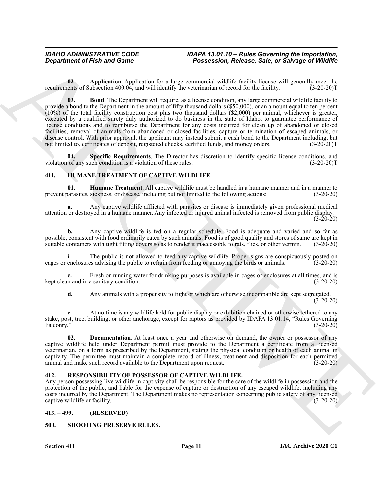<span id="page-10-8"></span><span id="page-10-7"></span>**02 Application**. Application for a large commercial wildlife facility license will generally meet the requirements of Subsection 400.04, and will identify the veterinarian of record for the facility. (3-20-20)T

*Department of Finith and Guenes* **Possession, Release, Sale, or Shraps of Wildhist control in the system of Sale (argent point in the system of the system of the system of the system of the system of the system of the 03. Bond**. The Department will require, as a license condition, any large commercial wildlife facility to provide a bond to the Department in the amount of fifty thousand dollars (\$50,000), or an amount equal to ten percent (10%) of the total facility construction cost plus two thousand dollars (\$2,000) per animal, whichever is greater, executed by a qualified surety duly authorized to do business in the state of Idaho, to guarantee performance of license conditions and to reimburse the Department for any costs incurred for clean up of abandoned or closed facilities, removal of animals from abandoned or closed facilities, capture or termination of escaped animals, or disease control. With prior approval, the applicant may instead submit a cash bond to the Department including, but not limited to, certificates of deposit, registered checks, certified funds, and money orders. (3-20-20)T

<span id="page-10-9"></span>**04. Specific Requirements**. The Director has discretion to identify specific license conditions, and violation of any such condition is a violation of these rules. (3-20-20)T

## <span id="page-10-4"></span><span id="page-10-0"></span>**411. HUMANE TREATMENT OF CAPTIVE WILDLIFE**

<span id="page-10-6"></span>**01. Humane Treatment**. All captive wildlife must be handled in a humane manner and in a manner to prevent parasites, sickness, or disease, including but not limited to the following actions: (3-20-20)

**a.** Any captive wildlife afflicted with parasites or disease is immediately given professional medical attention or destroyed in a humane manner. Any infected or injured animal infected is removed from public display.  $(3-20-20)$ 

**b.** Any captive wildlife is fed on a regular schedule. Food is adequate and varied and so far as possible, consistent with food ordinarily eaten by such animals. Food is of good quality and stores of same are kept in suitable containers with tight fitting covers so as to render it inaccessible to rats, flies, or other suitable containers with tight fitting covers so as to render it inaccessible to rats, flies, or other vermin.

i. The public is not allowed to feed any captive wildlife. Proper signs are conspicuously posted on enclosures advising the public to refrain from feeding or annoying the birds or animals. (3-20-20) cages or enclosures advising the public to refrain from feeding or annoying the birds or animals.

**c.** Fresh or running water for drinking purposes is available in cages or enclosures at all times, and is kept clean and in a sanitary condition. (3-20-20)

<span id="page-10-5"></span>**d.** Any animals with a propensity to fight or which are otherwise incompatible are kept segregated.  $(3-20-20)$ 

**e.** At no time is any wildlife held for public display or exhibition chained or otherwise tethered to any stake, post, tree, building, or other anchorage, except for raptors as provided by IDAPA 13.01.14, "Rules Governing<br>Falconry." (3-20-20) Falconry." (3-20-20)

**02. Documentation**. At least once a year and otherwise on demand, the owner or possessor of any captive wildlife held under Department permit must provide to the Department a certificate from a licensed veterinarian, on a form as prescribed by the Department, stating the physical condition or health of each animal in captivity. The permittee must maintain a complete record of illness, treatment and disposition for each permitted animal and make such record available to the Department upon request. (3-20-20)

## <span id="page-10-10"></span><span id="page-10-1"></span>**412. RESPONSIBILITY OF POSSESSOR OF CAPTIVE WILDLIFE.**

Any person possessing live wildlife in captivity shall be responsible for the care of the wildlife in possession and the protection of the public, and liable for the expense of capture or destruction of any escaped wildlife, including any costs incurred by the Department. The Department makes no representation concerning public safety of any licensed captive wildlife or facility. (3-20-20)

<span id="page-10-2"></span>**413. – 499. (RESERVED)**

## <span id="page-10-11"></span><span id="page-10-3"></span>**500. SHOOTING PRESERVE RULES.**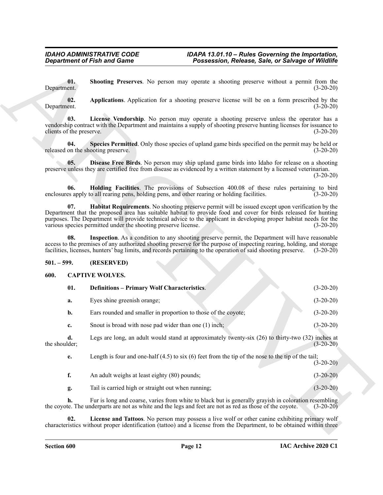## <span id="page-11-9"></span><span id="page-11-8"></span><span id="page-11-7"></span><span id="page-11-6"></span><span id="page-11-0"></span>**501. – 599. (RESERVED)**

## <span id="page-11-4"></span><span id="page-11-3"></span><span id="page-11-2"></span><span id="page-11-1"></span>**600. CAPTIVE WOLVES.**

<span id="page-11-12"></span><span id="page-11-11"></span><span id="page-11-10"></span><span id="page-11-5"></span>

| <b>Department of Fish and Game</b>                           |                                                                                              | Possession, Release, Sale, or Salvage of Wildlife                                                                                                                                                                                                                                                                                                    |             |
|--------------------------------------------------------------|----------------------------------------------------------------------------------------------|------------------------------------------------------------------------------------------------------------------------------------------------------------------------------------------------------------------------------------------------------------------------------------------------------------------------------------------------------|-------------|
| 01.<br>Department.                                           |                                                                                              | Shooting Preserves. No person may operate a shooting preserve without a permit from the                                                                                                                                                                                                                                                              | $(3-20-20)$ |
| 02.<br>Department.                                           |                                                                                              | Applications. Application for a shooting preserve license will be on a form prescribed by the                                                                                                                                                                                                                                                        | $(3-20-20)$ |
| 03.<br>clients of the preserve.                              |                                                                                              | License Vendorship. No person may operate a shooting preserve unless the operator has a<br>vendorship contract with the Department and maintains a supply of shooting preserve hunting licenses for issuance to                                                                                                                                      | $(3-20-20)$ |
| 04.                                                          | released on the shooting preserve.                                                           | Species Permitted. Only those species of upland game birds specified on the permit may be held or                                                                                                                                                                                                                                                    | $(3-20-20)$ |
| 05.                                                          |                                                                                              | Disease Free Birds. No person may ship upland game birds into Idaho for release on a shooting<br>preserve unless they are certified free from disease as evidenced by a written statement by a licensed veterinarian.                                                                                                                                | $(3-20-20)$ |
| 06.                                                          | enclosures apply to all rearing pens, holding pens, and other rearing or holding facilities. | Holding Facilities. The provisions of Subsection 400.08 of these rules pertaining to bird                                                                                                                                                                                                                                                            | $(3-20-20)$ |
| 07.                                                          | various species permitted under the shooting preserve license.                               | Habitat Requirements. No shooting preserve permit will be issued except upon verification by the<br>Department that the proposed area has suitable habitat to provide food and cover for birds released for hunting<br>purposes. The Department will provide technical advice to the applicant in developing proper habitat needs for the            | $(3-20-20)$ |
| 08.                                                          |                                                                                              | Inspection. As a condition to any shooting preserve permit, the Department will have reasonable<br>access to the premises of any authorized shooting preserve for the purpose of inspecting rearing, holding, and storage<br>facilities, licenses, hunters' bag limits, and records pertaining to the operation of said shooting preserve. (3-20-20) |             |
| $501 - 599.$<br>(RESERVED)<br><b>CAPTIVE WOLVES.</b><br>600. |                                                                                              |                                                                                                                                                                                                                                                                                                                                                      |             |
|                                                              |                                                                                              |                                                                                                                                                                                                                                                                                                                                                      |             |
| 01.                                                          | <b>Definitions - Primary Wolf Characteristics.</b>                                           |                                                                                                                                                                                                                                                                                                                                                      | $(3-20-20)$ |
| a.                                                           | Eyes shine greenish orange;                                                                  |                                                                                                                                                                                                                                                                                                                                                      | $(3-20-20)$ |
| b.                                                           | Ears rounded and smaller in proportion to those of the coyote;                               |                                                                                                                                                                                                                                                                                                                                                      | $(3-20-20)$ |
| c.                                                           | Snout is broad with nose pad wider than one (1) inch;                                        |                                                                                                                                                                                                                                                                                                                                                      | $(3-20-20)$ |
| d.<br>the shoulder;                                          |                                                                                              | Legs are long, an adult would stand at approximately twenty-six (26) to thirty-two (32) inches at                                                                                                                                                                                                                                                    | $(3-20-20)$ |
| e.                                                           |                                                                                              | Length is four and one-half $(4.5)$ to six $(6)$ feet from the tip of the nose to the tip of the tail;                                                                                                                                                                                                                                               | $(3-20-20)$ |
| f.                                                           | An adult weighs at least eighty (80) pounds;                                                 |                                                                                                                                                                                                                                                                                                                                                      | $(3-20-20)$ |
| g.                                                           | Tail is carried high or straight out when running;                                           |                                                                                                                                                                                                                                                                                                                                                      | $(3-20-20)$ |
| h.                                                           |                                                                                              | Fur is long and coarse, varies from white to black but is generally grayish in coloration resembling<br>the coyote. The underparts are not as white and the legs and feet are not as red as those of the coyote.                                                                                                                                     | $(3-20-20)$ |
|                                                              |                                                                                              | License and Tattoos. No person may possess a live wolf or other canine exhibiting primary wolf                                                                                                                                                                                                                                                       |             |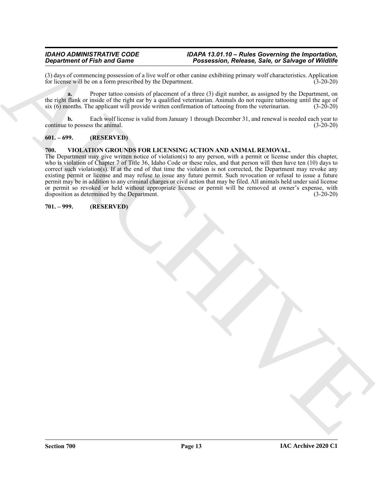(3) days of commencing possession of a live wolf or other canine exhibiting primary wolf characteristics. Application for license will be on a form prescribed by the Department. for license will be on a form prescribed by the Department.

**a.** Proper tattoo consists of placement of a three (3) digit number, as assigned by the Department, on the right flank or inside of the right ear by a qualified veterinarian. Animals do not require tattooing until the age of six (6) months. The applicant will provide written confirmation of tattooing from the veterinarian. (3-20-20)

**b.** Each wolf license is valid from January 1 through December 31, and renewal is needed each year to continue to possess the animal. (3-20-20)

## <span id="page-12-0"></span>**601. – 699. (RESERVED)**

## <span id="page-12-3"></span><span id="page-12-1"></span>**700. VIOLATION GROUNDS FOR LICENSING ACTION AND ANIMAL REMOVAL.**

*Gregarithment of Finit and Comes*<br>  $\frac{1}{2}$  Promotoval of  $\frac{1}{2}$  Promotoval of  $\frac{1}{2}$  Promotoval of  $\frac{1}{2}$  Promotoval of  $\frac{1}{2}$  Promotoval of  $\frac{1}{2}$  Promotoval of  $\frac{1}{2}$  Promotoval of  $\frac{1}{2}$  Promoto The Department may give written notice of violation(s) to any person, with a permit or license under this chapter, who is violation of Chapter 7 of Title 36, Idaho Code or these rules, and that person will then have ten (10) days to correct such violation(s). If at the end of that time the violation is not corrected, the Department may revoke any existing permit or license and may refuse to issue any future permit. Such revocation or refusal to issue a future permit may be in addition to any criminal charges or civil action that may be filed. All animals held under said license or permit so revoked or held without appropriate license or permit will be removed at owner's expense, with disposition as determined by the Department. (3-20-20)

## <span id="page-12-2"></span>**701. – 999. (RESERVED)**